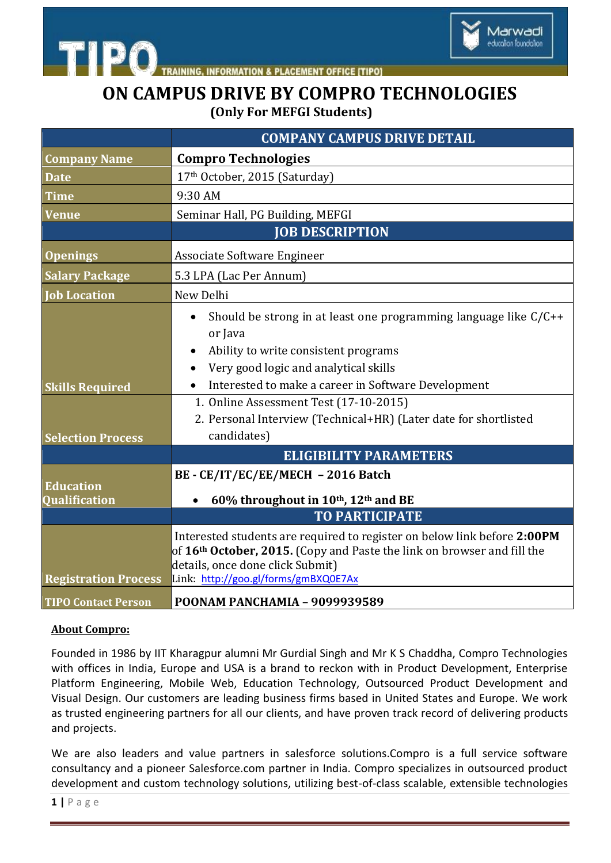

**INFORMATION & PLACEMENT OFFICE [TIPO]** 

## **ON CAMPUS DRIVE BY COMPRO TECHNOLOGIES (Only For MEFGI Students)**

|                             | <b>COMPANY CAMPUS DRIVE DETAIL</b>                                                                                                                                                                                                          |
|-----------------------------|---------------------------------------------------------------------------------------------------------------------------------------------------------------------------------------------------------------------------------------------|
| <b>Company Name</b>         | <b>Compro Technologies</b>                                                                                                                                                                                                                  |
| <b>Date</b>                 | 17th October, 2015 (Saturday)                                                                                                                                                                                                               |
| <b>Time</b>                 | 9:30 AM                                                                                                                                                                                                                                     |
| <b>Venue</b>                | Seminar Hall, PG Building, MEFGI                                                                                                                                                                                                            |
|                             | <b>JOB DESCRIPTION</b>                                                                                                                                                                                                                      |
| <b>Openings</b>             | Associate Software Engineer                                                                                                                                                                                                                 |
| <b>Salary Package</b>       | 5.3 LPA (Lac Per Annum)                                                                                                                                                                                                                     |
| <b>Job Location</b>         | New Delhi                                                                                                                                                                                                                                   |
|                             | Should be strong in at least one programming language like $C/C++$<br>or Java                                                                                                                                                               |
|                             | Ability to write consistent programs<br>$\bullet$                                                                                                                                                                                           |
|                             | Very good logic and analytical skills<br>Interested to make a career in Software Development                                                                                                                                                |
| <b>Skills Required</b>      | 1. Online Assessment Test (17-10-2015)                                                                                                                                                                                                      |
|                             | 2. Personal Interview (Technical+HR) (Later date for shortlisted                                                                                                                                                                            |
| <b>Selection Process</b>    | candidates)                                                                                                                                                                                                                                 |
|                             | <b>ELIGIBILITY PARAMETERS</b>                                                                                                                                                                                                               |
| <b>Education</b>            | BE - CE/IT/EC/EE/MECH - 2016 Batch                                                                                                                                                                                                          |
| Qualification               | 60% throughout in 10 <sup>th</sup> , 12 <sup>th</sup> and BE                                                                                                                                                                                |
|                             | <b>TO PARTICIPATE</b>                                                                                                                                                                                                                       |
| <b>Registration Process</b> | Interested students are required to register on below link before 2:00PM<br>of 16 <sup>th</sup> October, 2015. (Copy and Paste the link on browser and fill the<br>details, once done click Submit)<br>Link: http://goo.gl/forms/gmBXQ0E7Ax |
| <b>TIPO Contact Person</b>  | POONAM PANCHAMIA - 9099939589                                                                                                                                                                                                               |

## **About Compro:**

**htipo** 

Founded in 1986 by IIT Kharagpur alumni Mr Gurdial Singh and Mr K S Chaddha, Compro Technologies with offices in India, Europe and USA is a brand to reckon with in Product Development, Enterprise Platform Engineering, Mobile Web, Education Technology, Outsourced Product Development and Visual Design. Our customers are leading business firms based in United States and Europe. We work as trusted engineering partners for all our clients, and have proven track record of delivering products and projects.

We are also leaders and value partners in salesforce solutions.Compro is a full service software consultancy and a pioneer Salesforce.com partner in India. Compro specializes in outsourced product development and custom technology solutions, utilizing best-of-class scalable, extensible technologies